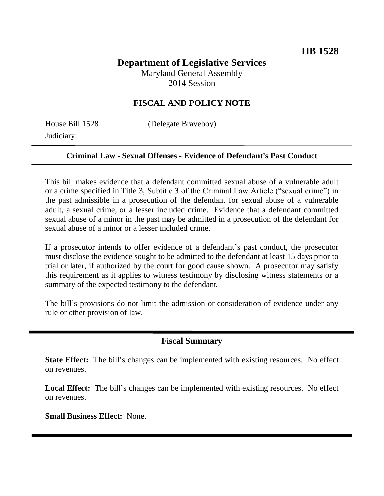# **Department of Legislative Services**

Maryland General Assembly 2014 Session

### **FISCAL AND POLICY NOTE**

**Judiciary** 

House Bill 1528 (Delegate Braveboy)

#### **Criminal Law - Sexual Offenses - Evidence of Defendant's Past Conduct**

This bill makes evidence that a defendant committed sexual abuse of a vulnerable adult or a crime specified in Title 3, Subtitle 3 of the Criminal Law Article ("sexual crime") in the past admissible in a prosecution of the defendant for sexual abuse of a vulnerable adult, a sexual crime, or a lesser included crime. Evidence that a defendant committed sexual abuse of a minor in the past may be admitted in a prosecution of the defendant for sexual abuse of a minor or a lesser included crime.

If a prosecutor intends to offer evidence of a defendant's past conduct, the prosecutor must disclose the evidence sought to be admitted to the defendant at least 15 days prior to trial or later, if authorized by the court for good cause shown. A prosecutor may satisfy this requirement as it applies to witness testimony by disclosing witness statements or a summary of the expected testimony to the defendant.

The bill's provisions do not limit the admission or consideration of evidence under any rule or other provision of law.

#### **Fiscal Summary**

**State Effect:** The bill's changes can be implemented with existing resources. No effect on revenues.

Local Effect: The bill's changes can be implemented with existing resources. No effect on revenues.

**Small Business Effect:** None.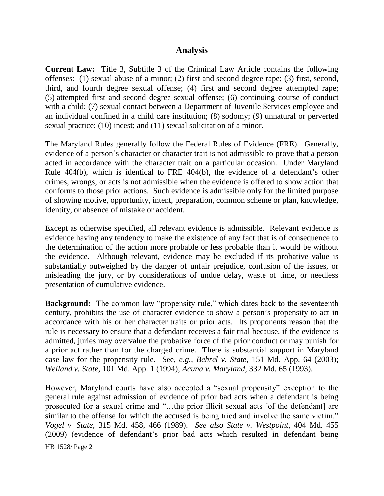#### **Analysis**

**Current Law:** Title 3, Subtitle 3 of the Criminal Law Article contains the following offenses: (1) sexual abuse of a minor; (2) first and second degree rape; (3) first, second, third, and fourth degree sexual offense; (4) first and second degree attempted rape; (5) attempted first and second degree sexual offense; (6) continuing course of conduct with a child; (7) sexual contact between a Department of Juvenile Services employee and an individual confined in a child care institution; (8) sodomy; (9) unnatural or perverted sexual practice; (10) incest; and (11) sexual solicitation of a minor.

The Maryland Rules generally follow the Federal Rules of Evidence (FRE). Generally, evidence of a person's character or character trait is not admissible to prove that a person acted in accordance with the character trait on a particular occasion. Under Maryland Rule 404(b), which is identical to FRE 404(b), the evidence of a defendant's other crimes, wrongs, or acts is not admissible when the evidence is offered to show action that conforms to those prior actions. Such evidence is admissible only for the limited purpose of showing motive, opportunity, intent, preparation, common scheme or plan, knowledge, identity, or absence of mistake or accident.

Except as otherwise specified, all relevant evidence is admissible. Relevant evidence is evidence having any tendency to make the existence of any fact that is of consequence to the determination of the action more probable or less probable than it would be without the evidence. Although relevant, evidence may be excluded if its probative value is substantially outweighed by the danger of unfair prejudice, confusion of the issues, or misleading the jury, or by considerations of undue delay, waste of time, or needless presentation of cumulative evidence.

**Background:** The common law "propensity rule," which dates back to the seventeenth century, prohibits the use of character evidence to show a person's propensity to act in accordance with his or her character traits or prior acts. Its proponents reason that the rule is necessary to ensure that a defendant receives a fair trial because, if the evidence is admitted, juries may overvalue the probative force of the prior conduct or may punish for a prior act rather than for the charged crime. There is substantial support in Maryland case law for the propensity rule. See, *e.g., Behrel v. State,* 151 Md. App. 64 (2003); *Weiland v. State,* 101 Md. App. 1 (1994); *Acuna v. Maryland,* 332 Md. 65 (1993).

However, Maryland courts have also accepted a "sexual propensity" exception to the general rule against admission of evidence of prior bad acts when a defendant is being prosecuted for a sexual crime and "…the prior illicit sexual acts [of the defendant] are similar to the offense for which the accused is being tried and involve the same victim." *Vogel v. State*, 315 Md. 458, 466 (1989). *See also State v. Westpoint*, 404 Md. 455 (2009) (evidence of defendant's prior bad acts which resulted in defendant being

HB 1528/ Page 2